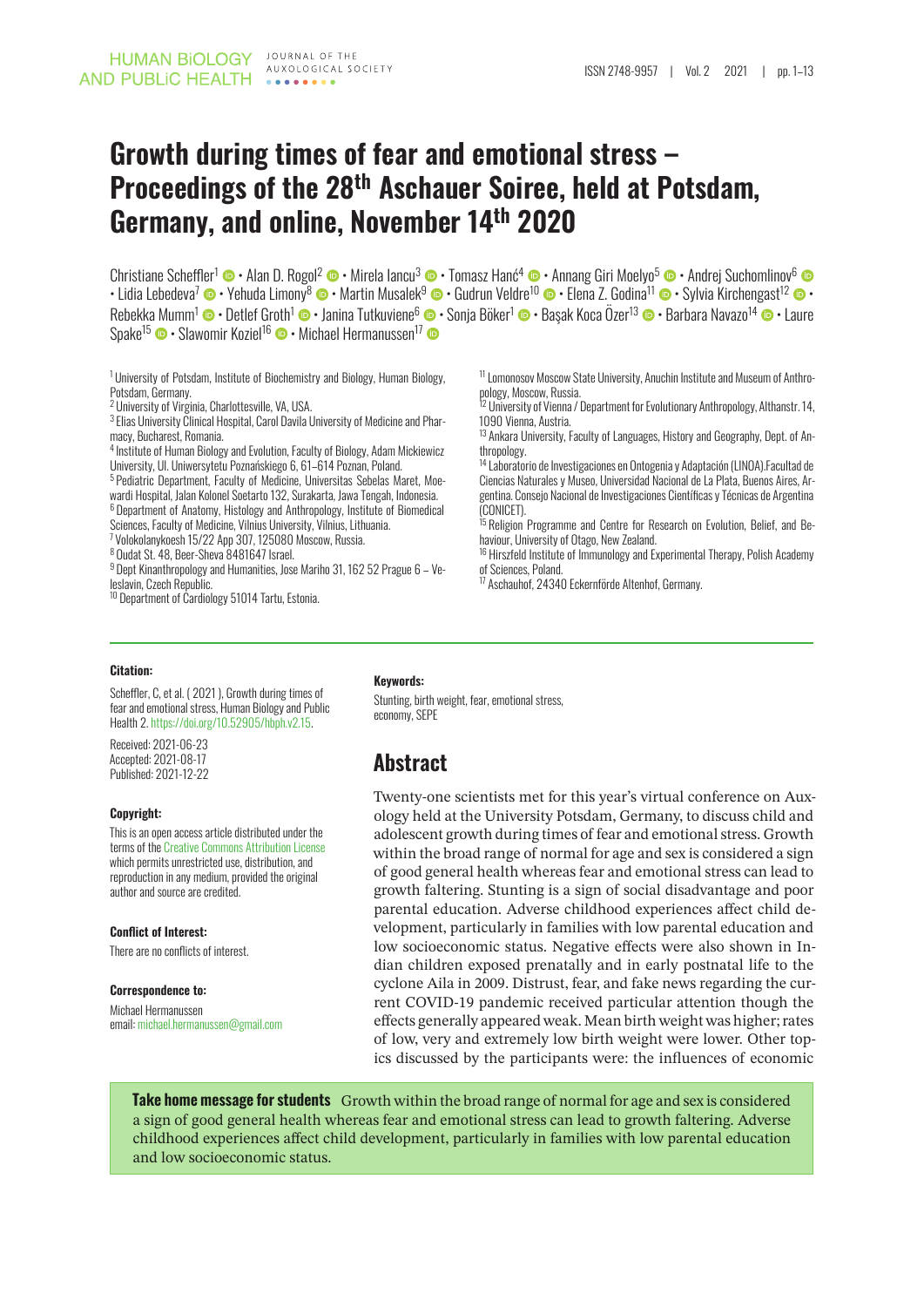# **Growth during times of fear and emotional stress – Proceedings of the 28th Aschauer Soiree, held at Potsdam, Germany, and online, November 14th 2020**

Christiane Sche[ffler](http://orcid.org/0000-0002-2084-6690)<sup>1</sup> © • A[l](http://orcid.org/0000-0003-2686-0095)an D. Rogol<sup>2</sup> © [•](http://orcid.org/0000-0003-1070-8304) Mirela lancu<sup>3</sup> © • Tomasz Hanć<sup>4</sup> © [• A](http://orcid.org/0000-0001-6327-2562)nnang Giri Moelyo<sup>5</sup> © • Andrej Suchomlino[v](http://orcid.org/0000-0002-3220-7271)<sup>6</sup>  $\cdot$  Lidia Lebedeva<sup>7</sup>  $\bm\Phi\cdot$  Yehuda Limony $^8$   $\bm\Phi\cdot$  Martin Musalek $^9$  $^9$   $\bm\Phi\cdot$  Gudrun Veldre $^{10}$  $^{10}$  $^{10}$   $\bm\Phi\cdot$  Elena Z. Godina $^{11}$   $\bm\Phi\cdot$  Sylvia Kirchengast $^{12}$   $\bm\Phi\cdot$ Rebekka Mumm<sup>1</sup> © • Detlef Groth<sup>1</sup> © • Janina Tutkuviene<sup>6</sup> © • Sonja Böker<sup>1</sup> © • Başak Koca Özer<sup>13</sup> © • Barbara Navazo<sup>14</sup> © • Laure Spake<sup>15</sup> • Slawomir Koziel<sup>16</sup> • Michael Hermanussen<sup>1[7](http://orcid.org/0000-0003-2380-6843)</sup> •

<sup>1</sup> University of Potsdam, Institute of Biochemistry and Biology, Human Biology, Potsdam, Germany.

<sup>2</sup> University of Virginia, Charlottesville, VA, USA.

3 Elias University Clinical Hospital, Carol Davila University of Medicine and Pharmacy, Bucharest, Romania.

4 Institute of Human Biology and Evolution, Faculty of Biology, Adam Mickiewicz University, Ul. Uniwersytetu Poznańskiego 6, 61–614 Poznan, Poland.

<sup>5</sup> Pediatric Department, Faculty of Medicine, Universitas Sebelas Maret, Moewardi Hospital, Jalan Kolonel Soetarto 132, Surakarta, Jawa Tengah, Indonesia. <sup>6</sup> Department of Anatomy, Histology and Anthropology, Institute of Biomedical

Sciences, Faculty of Medicine, Vilnius University, Vilnius, Lithuania.

<sup>7</sup> Volokolanykoesh 15/22 App 307, 125080 Moscow, Russia.

<sup>8</sup> Oudat St. 48, Beer-Sheva 8481647 Israel.

<sup>9</sup> Dept Kinanthropology and Humanities, Jose Mariho 31, 162 52 Prague 6 – Veleslavin, Czech Republic.

<sup>10</sup> Department of Cardiology 51014 Tartu, Estonia.

<sup>11</sup>Lomonosov Moscow State University, Anuchin Institute and Museum of Anthropology, Moscow, Russia.

<sup>12</sup> University of Vienna / Department for Evolutionary Anthropology, Althanstr. 14, 1090 Vienna, Austria.

<sup>13</sup> Ankara University, Faculty of Languages, History and Geography, Dept. of Anthropology.

<sup>14</sup> Laboratorio de Investigaciones en Ontogenia y Adaptación (LINOA).Facultad de Ciencias Naturales y Museo, Universidad Nacional de La Plata, Buenos Aires, Argentina. Consejo Nacional de Investigaciones Científicas y Técnicas de Argentina (CONICET).

<sup>15</sup> Religion Programme and Centre for Research on Evolution, Belief, and Behaviour, University of Otago, New Zealand.

<sup>16</sup> Hirszfeld Institute of Immunology and Experimental Therapy, Polish Academy of Sciences, Poland.

<sup>17</sup> Aschauhof, 24340 Eckernförde Altenhof, Germany.

#### **Citation:**

Scheffler, C, et al. ( 2021 ), Growth during times of fear and emotional stress, Human Biology and Public Health 2. [https://doi.org/10.52905/hbph.v2.15.](https://doi.org/10.52905/hbph.v2.15)

Received: 2021-06-23 Accepted: 2021-08-17 Published: 2021-12-22

#### **Copyright:**

This is an open access article distributed under the terms of the [Creative Commons Attribution License](https://creativecommons.org/licenses/by/4.0) which permits unrestricted use, distribution, and reproduction in any medium, provided the original author and source are credited.

#### **Conflict of Interest:**

There are no conflicts of interest.

#### **Correspondence to:**

Michael Hermanussen email: [michael.hermanussen@gmail.com](mailto:michael.hermanussen@gmail.com)

#### **Keywords:**

Stunting, birth weight, fear, emotional stress, economy, SEPE

### **Abstract**

Twenty-one scientists met for this year's virtual conference on Auxology held at the University Potsdam, Germany, to discuss child and adolescent growth during times of fear and emotional stress. Growth within the broad range of normal for age and sex is considered a sign of good general health whereas fear and emotional stress can lead to growth faltering. Stunting is a sign of social disadvantage and poor parental education. Adverse childhood experiences affect child development, particularly in families with low parental education and low socioeconomic status. Negative effects were also shown in Indian children exposed prenatally and in early postnatal life to the cyclone Aila in 2009. Distrust, fear, and fake news regarding the current COVID-19 pandemic received particular attention though the effects generally appeared weak. Mean birth weight was higher; rates of low, very and extremely low birth weight were lower. Other topics discussed by the participants were: the influences of economic

**Take home message for students** Growth within the broad range of normal for age and sex is considered a sign of good general health whereas fear and emotional stress can lead to growth faltering. Adverse childhood experiences affect child development, particularly in families with low parental education and low socioeconomic status.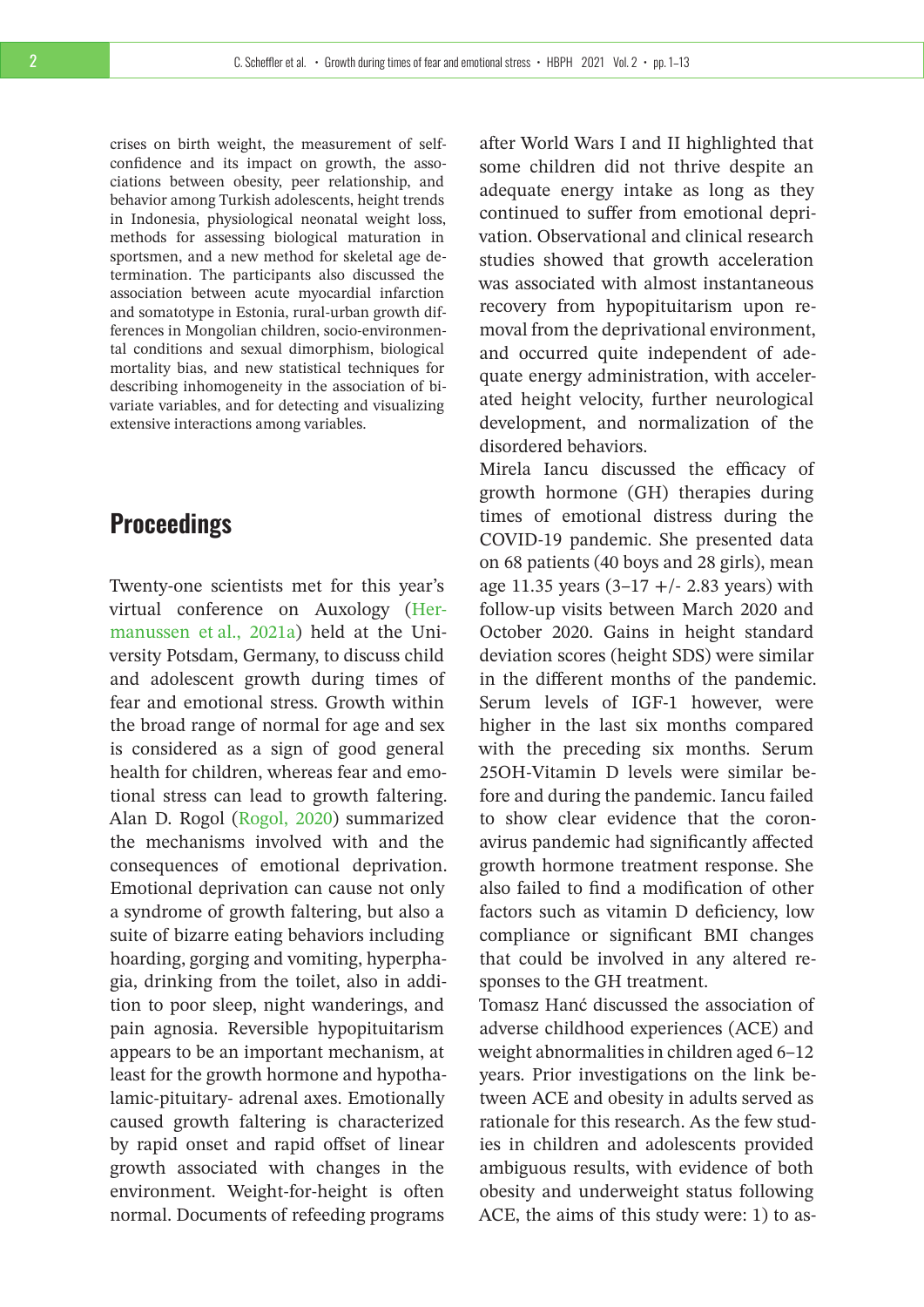crises on birth weight, the measurement of selfconfidence and its impact on growth, the associations between obesity, peer relationship, and behavior among Turkish adolescents, height trends in Indonesia, physiological neonatal weight loss, methods for assessing biological maturation in sportsmen, and a new method for skeletal age determination. The participants also discussed the association between acute myocardial infarction and somatotype in Estonia, rural-urban growth differences in Mongolian children, socio-environmental conditions and sexual dimorphism, biological mortality bias, and new statistical techniques for describing inhomogeneity in the association of bivariate variables, and for detecting and visualizing extensive interactions among variables.

# **Proceedings**

Twenty-one scientists met for this year's virtual conference on Auxology [\(Her](#page-12-0)[manussen et al., 2021a\)](#page-12-0) held at the University Potsdam, Germany, to discuss child and adolescent growth during times of fear and emotional stress. Growth within the broad range of normal for age and sex is considered as a sign of good general health for children, whereas fear and emotional stress can lead to growth faltering. Alan D. Rogol [\(Rogol, 2020\)](#page-12-1) summarized the mechanisms involved with and the consequences of emotional deprivation. Emotional deprivation can cause not only a syndrome of growth faltering, but also a suite of bizarre eating behaviors including hoarding, gorging and vomiting, hyperphagia, drinking from the toilet, also in addition to poor sleep, night wanderings, and pain agnosia. Reversible hypopituitarism appears to be an important mechanism, at least for the growth hormone and hypothalamic-pituitary- adrenal axes. Emotionally caused growth faltering is characterized by rapid onset and rapid offset of linear growth associated with changes in the environment. Weight-for-height is often normal. Documents of refeeding programs

after World Wars I and II highlighted that some children did not thrive despite an adequate energy intake as long as they continued to suffer from emotional deprivation. Observational and clinical research studies showed that growth acceleration was associated with almost instantaneous recovery from hypopituitarism upon removal from the deprivational environment, and occurred quite independent of adequate energy administration, with accelerated height velocity, further neurological development, and normalization of the disordered behaviors.

Mirela Iancu discussed the efficacy of growth hormone (GH) therapies during times of emotional distress during the COVID-19 pandemic. She presented data on 68 patients (40 boys and 28 girls), mean age 11.35 years  $(3-17 + 2.83$  years) with follow-up visits between March 2020 and October 2020. Gains in height standard deviation scores (height SDS) were similar in the different months of the pandemic. Serum levels of IGF-1 however, were higher in the last six months compared with the preceding six months. Serum 25OH-Vitamin D levels were similar before and during the pandemic. Iancu failed to show clear evidence that the coronavirus pandemic had significantly affected growth hormone treatment response. She also failed to find a modification of other factors such as vitamin D deficiency, low compliance or significant BMI changes that could be involved in any altered responses to the GH treatment.

Tomasz Hanć discussed the association of adverse childhood experiences (ACE) and weight abnormalities in children aged 6–12 years. Prior investigations on the link between ACE and obesity in adults served as rationale for this research. As the few studies in children and adolescents provided ambiguous results, with evidence of both obesity and underweight status following ACE, the aims of this study were: 1) to as-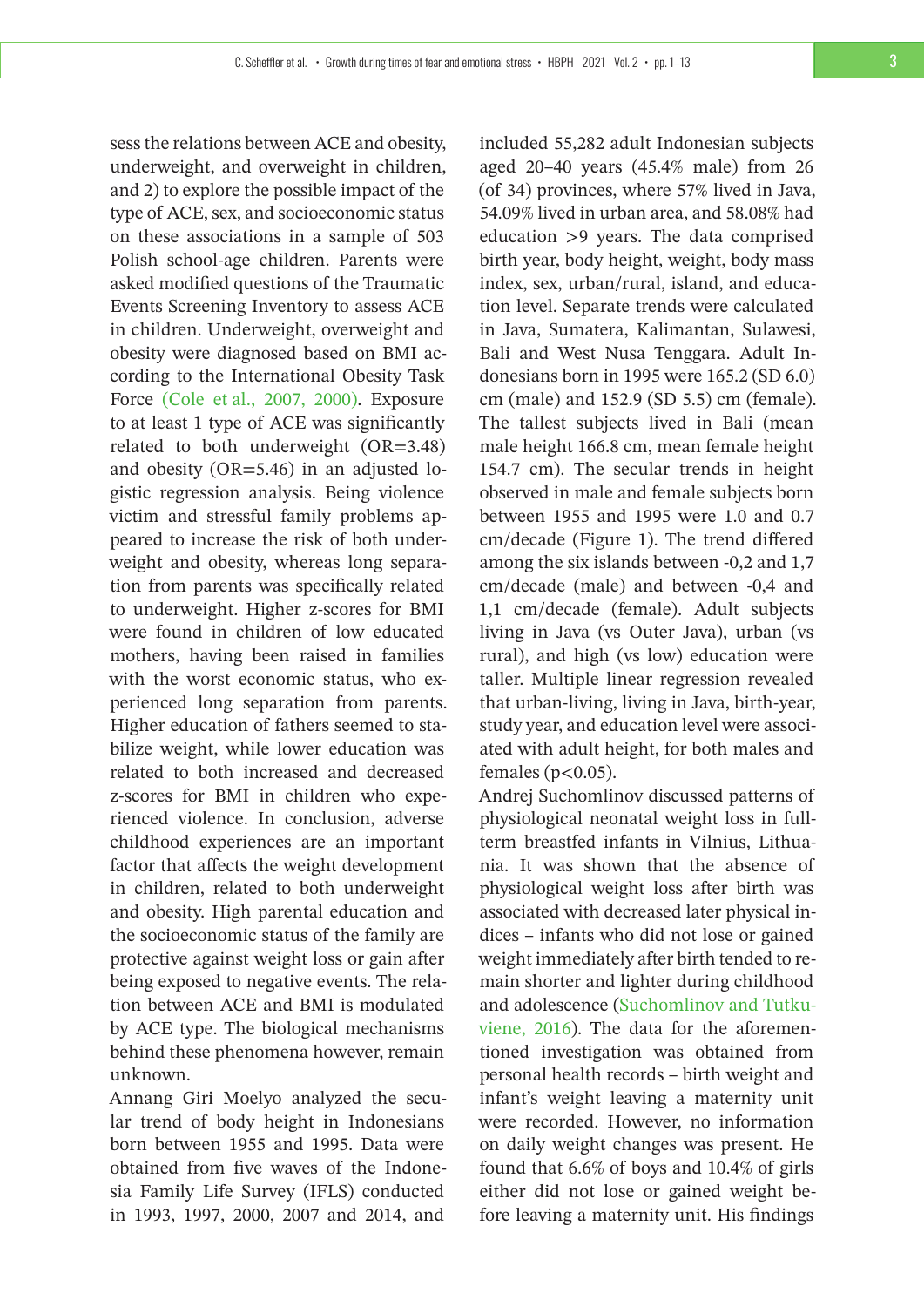sess the relations between ACE and obesity, underweight, and overweight in children, and 2) to explore the possible impact of the type of ACE, sex, and socioeconomic status on these associations in a sample of 503 Polish school-age children. Parents were asked modified questions of the Traumatic Events Screening Inventory to assess ACE in children. Underweight, overweight and obesity were diagnosed based on BMI according to the International Obesity Task Force [\(Cole et al., 2007, 2000\).](#page-12-2) Exposure to at least 1 type of ACE was significantly related to both underweight (OR=3.48) and obesity (OR=5.46) in an adjusted logistic regression analysis. Being violence victim and stressful family problems appeared to increase the risk of both underweight and obesity, whereas long separation from parents was specifically related to underweight. Higher z-scores for BMI were found in children of low educated mothers, having been raised in families with the worst economic status, who experienced long separation from parents. Higher education of fathers seemed to stabilize weight, while lower education was related to both increased and decreased z-scores for BMI in children who experienced violence. In conclusion, adverse childhood experiences are an important factor that affects the weight development in children, related to both underweight and obesity. High parental education and the socioeconomic status of the family are protective against weight loss or gain after being exposed to negative events. The relation between ACE and BMI is modulated by ACE type. The biological mechanisms behind these phenomena however, remain unknown.

Annang Giri Moelyo analyzed the secular trend of body height in Indonesians born between 1955 and 1995. Data were obtained from five waves of the Indonesia Family Life Survey (IFLS) conducted in 1993, 1997, 2000, 2007 and 2014, and

included 55,282 adult Indonesian subjects aged 20–40 years (45.4% male) from 26 (of 34) provinces, where 57% lived in Java, 54.09% lived in urban area, and 58.08% had education >9 years. The data comprised birth year, body height, weight, body mass index, sex, urban/rural, island, and education level. Separate trends were calculated in Java, Sumatera, Kalimantan, Sulawesi, Bali and West Nusa Tenggara. Adult Indonesians born in 1995 were 165.2 (SD 6.0) cm (male) and 152.9 (SD 5.5) cm (female). The tallest subjects lived in Bali (mean male height 166.8 cm, mean female height 154.7 cm). The secular trends in height observed in male and female subjects born between 1955 and 1995 were 1.0 and 0.7 cm/decade (Figure 1). The trend differed among the six islands between -0,2 and 1,7 cm/decade (male) and between -0,4 and 1,1 cm/decade (female). Adult subjects living in Java (vs Outer Java), urban (vs rural), and high (vs low) education were taller. Multiple linear regression revealed that urban-living, living in Java, birth-year, study year, and education level were associated with adult height, for both males and females ( $p<0.05$ ).

Andrej Suchomlinov discussed patterns of physiological neonatal weight loss in fullterm breastfed infants in Vilnius, Lithuania. It was shown that the absence of physiological weight loss after birth was associated with decreased later physical indices – infants who did not lose or gained weight immediately after birth tended to remain shorter and lighter during childhood and adolescence [\(Suchomlinov and Tutku](#page-12-3)[viene, 2016\)](#page-12-3). The data for the aforementioned investigation was obtained from personal health records – birth weight and infant's weight leaving a maternity unit were recorded. However, no information on daily weight changes was present. He found that 6.6% of boys and 10.4% of girls either did not lose or gained weight before leaving a maternity unit. His findings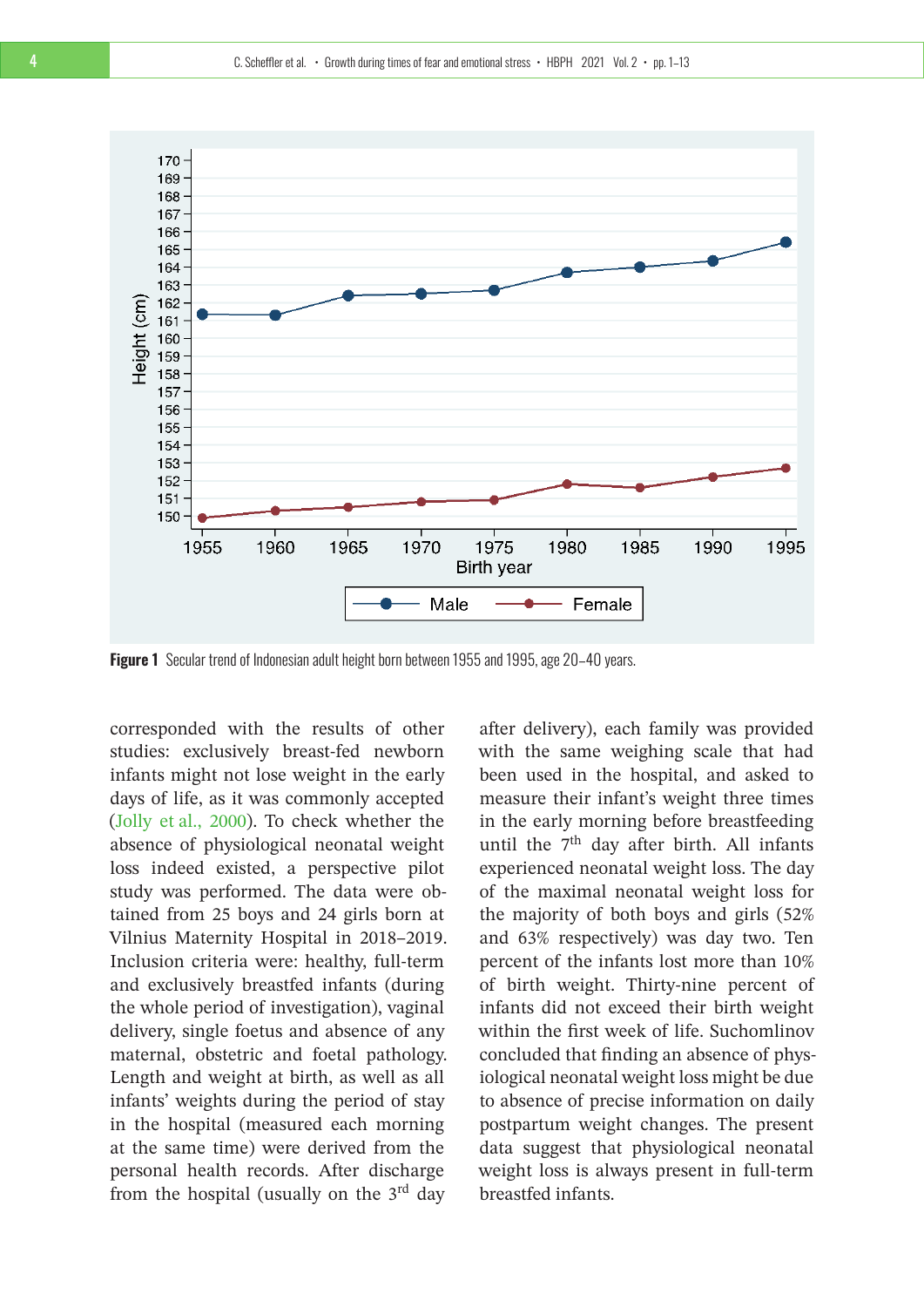

**Figure 1** Secular trend of Indonesian adult height born between 1955 and 1995, age 20–40 years.

corresponded with the results of other studies: exclusively breast-fed newborn infants might not lose weight in the early days of life, as it was commonly accepted [\(Jolly et al., 2000\)](#page-12-4). To check whether the absence of physiological neonatal weight loss indeed existed, a perspective pilot study was performed. The data were obtained from 25 boys and 24 girls born at Vilnius Maternity Hospital in 2018–2019. Inclusion criteria were: healthy, full-term and exclusively breastfed infants (during the whole period of investigation), vaginal delivery, single foetus and absence of any maternal, obstetric and foetal pathology. Length and weight at birth, as well as all infants' weights during the period of stay in the hospital (measured each morning at the same time) were derived from the personal health records. After discharge from the hospital (usually on the  $3<sup>rd</sup>$  day

after delivery), each family was provided with the same weighing scale that had been used in the hospital, and asked to measure their infant's weight three times in the early morning before breastfeeding until the  $7<sup>th</sup>$  day after birth. All infants experienced neonatal weight loss. The day of the maximal neonatal weight loss for the majority of both boys and girls (52% and 63% respectively) was day two. Ten percent of the infants lost more than 10% of birth weight. Thirty-nine percent of infants did not exceed their birth weight within the first week of life. Suchomlinov concluded that finding an absence of physiological neonatal weight loss might be due to absence of precise information on daily postpartum weight changes. The present data suggest that physiological neonatal weight loss is always present in full-term breastfed infants.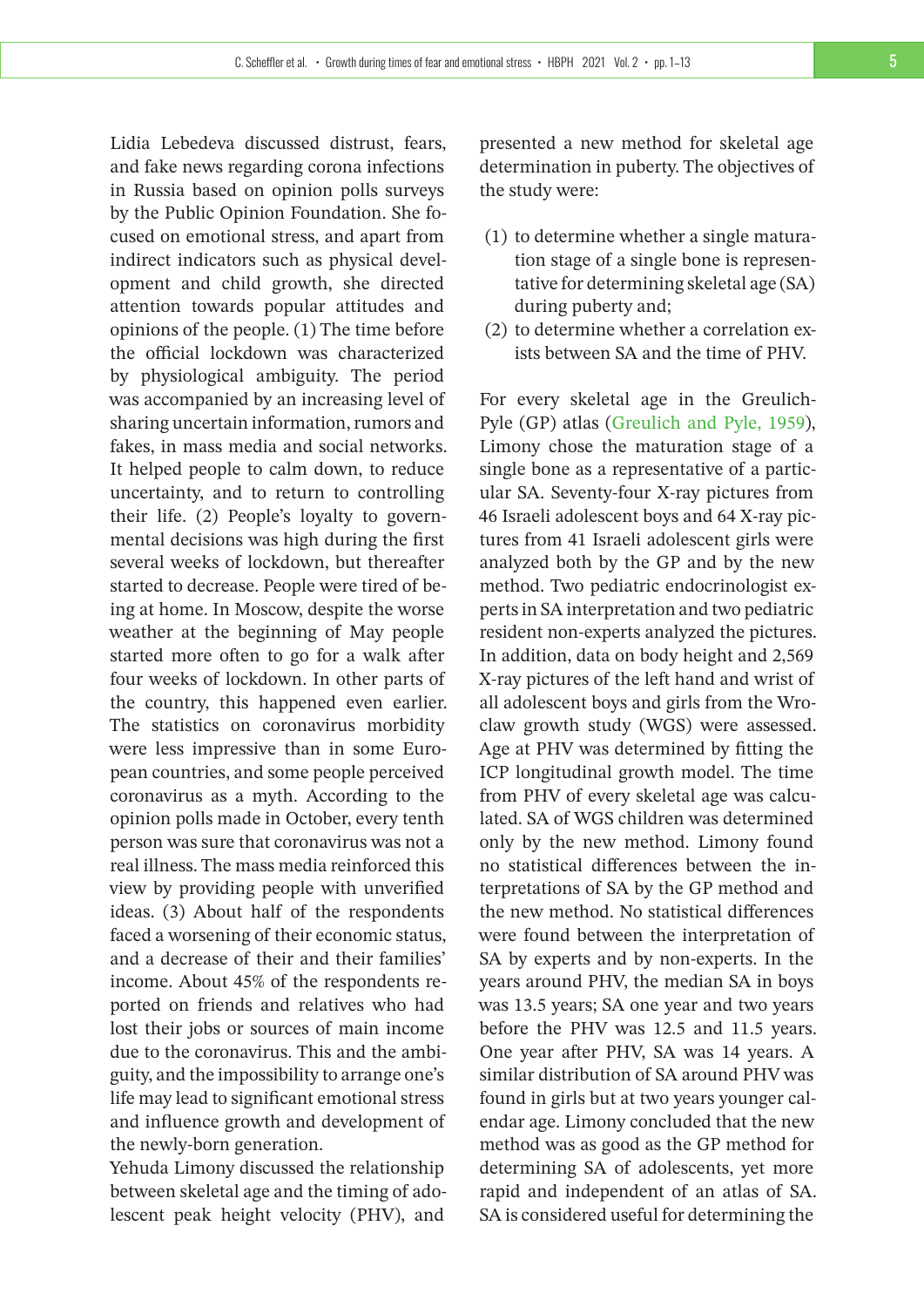Lidia Lebedeva discussed distrust, fears, and fake news regarding corona infections in Russia based on opinion polls surveys by the Public Opinion Foundation. She focused on emotional stress, and apart from indirect indicators such as physical development and child growth, she directed attention towards popular attitudes and opinions of the people. (1) The time before the official lockdown was characterized by physiological ambiguity. The period was accompanied by an increasing level of sharing uncertain information, rumors and fakes, in mass media and social networks. It helped people to calm down, to reduce uncertainty, and to return to controlling their life. (2) People's loyalty to governmental decisions was high during the first several weeks of lockdown, but thereafter started to decrease. People were tired of being at home. In Moscow, despite the worse weather at the beginning of May people started more often to go for a walk after four weeks of lockdown. In other parts of the country, this happened even earlier. The statistics on coronavirus morbidity were less impressive than in some European countries, and some people perceived coronavirus as a myth. According to the opinion polls made in October, every tenth person was sure that coronavirus was not a real illness. The mass media reinforced this view by providing people with unverified ideas. (3) About half of the respondents faced a worsening of their economic status, and a decrease of their and their families' income. About 45% of the respondents reported on friends and relatives who had lost their jobs or sources of main income due to the coronavirus. This and the ambiguity, and the impossibility to arrange one's life may lead to significant emotional stress and influence growth and development of the newly-born generation.

Yehuda Limony discussed the relationship between skeletal age and the timing of adolescent peak height velocity (PHV), and

presented a new method for skeletal age determination in puberty. The objectives of the study were:

- (1) to determine whether a single maturation stage of a single bone is representative for determining skeletal age (SA) during puberty and;
- (2) to determine whether a correlation exists between SA and the time of PHV.

For every skeletal age in the Greulich-Pyle (GP) atlas [\(Greulich and Pyle, 1959\)](#page-12-5), Limony chose the maturation stage of a single bone as a representative of a particular SA. Seventy-four X-ray pictures from 46 Israeli adolescent boys and 64 X-ray pictures from 41 Israeli adolescent girls were analyzed both by the GP and by the new method. Two pediatric endocrinologist experts in SA interpretation and two pediatric resident non-experts analyzed the pictures. In addition, data on body height and 2,569 X-ray pictures of the left hand and wrist of all adolescent boys and girls from the Wroclaw growth study (WGS) were assessed. Age at PHV was determined by fitting the ICP longitudinal growth model. The time from PHV of every skeletal age was calculated. SA of WGS children was determined only by the new method. Limony found no statistical differences between the interpretations of SA by the GP method and the new method. No statistical differences were found between the interpretation of SA by experts and by non-experts. In the years around PHV, the median SA in boys was 13.5 years; SA one year and two years before the PHV was 12.5 and 11.5 years. One year after PHV, SA was 14 years. A similar distribution of SA around PHV was found in girls but at two years younger calendar age. Limony concluded that the new method was as good as the GP method for determining SA of adolescents, yet more rapid and independent of an atlas of SA. SA is considered useful for determining the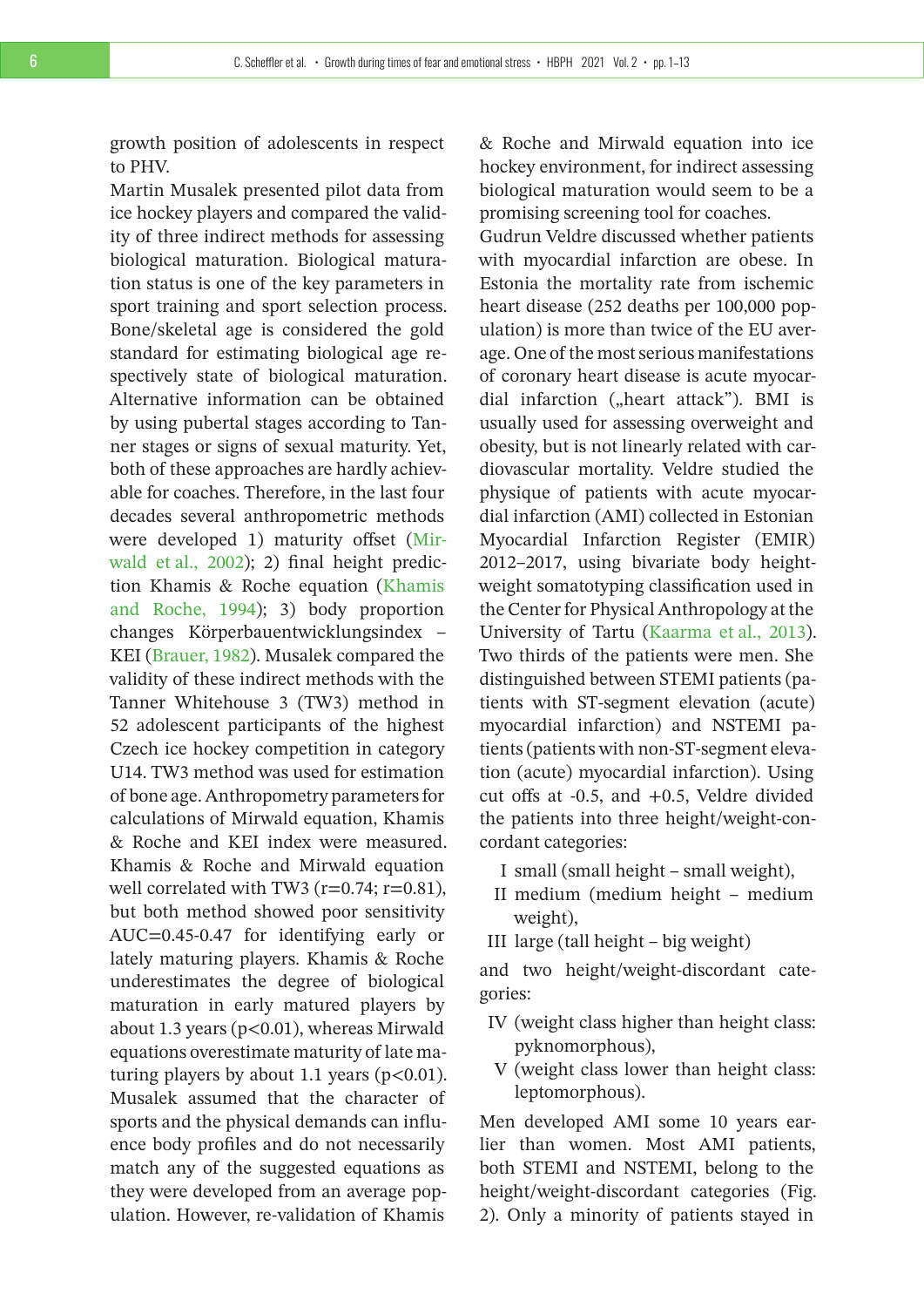growth position of adolescents in respect to PHV.

Martin Musalek presented pilot data from ice hockey players and compared the validity of three indirect methods for assessing biological maturation. Biological maturation status is one of the key parameters in sport training and sport selection process. Bone/skeletal age is considered the gold standard for estimating biological age respectively state of biological maturation. Alternative information can be obtained by using pubertal stages according to Tanner stages or signs of sexual maturity. Yet, both of these approaches are hardly achievable for coaches. Therefore, in the last four decades several anthropometric methods were developed 1) maturity offset [\(Mir](#page-12-6)[wald et al., 2002\)](#page-12-6); 2) final height prediction Khamis & Roche equation [\(Khamis](#page-12-7) [and Roche, 1994\)](#page-12-7); 3) body proportion changes Körperbauentwicklungsindex – KEI [\(Brauer, 1982\)](#page-11-0). Musalek compared the validity of these indirect methods with the Tanner Whitehouse 3 (TW3) method in 52 adolescent participants of the highest Czech ice hockey competition in category U14. TW3 method was used for estimation of bone age. Anthropometry parameters for calculations of Mirwald equation, Khamis & Roche and KEI index were measured. Khamis & Roche and Mirwald equation well correlated with TW3 ( $r=0.74$ ;  $r=0.81$ ), but both method showed poor sensitivity AUC=0.45-0.47 for identifying early or lately maturing players. Khamis & Roche underestimates the degree of biological maturation in early matured players by about 1.3 years (p<0.01), whereas Mirwald equations overestimate maturity of late maturing players by about 1.1 years  $(p<0.01)$ . Musalek assumed that the character of sports and the physical demands can influence body profiles and do not necessarily match any of the suggested equations as they were developed from an average population. However, re-validation of Khamis

& Roche and Mirwald equation into ice hockey environment, for indirect assessing biological maturation would seem to be a promising screening tool for coaches.

Gudrun Veldre discussed whether patients with myocardial infarction are obese. In Estonia the mortality rate from ischemic heart disease (252 deaths per 100,000 population) is more than twice of the EU average. One of the most serious manifestations of coronary heart disease is acute myocardial infarction ("heart attack"). BMI is usually used for assessing overweight and obesity, but is not linearly related with cardiovascular mortality. Veldre studied the physique of patients with acute myocardial infarction (AMI) collected in Estonian Myocardial Infarction Register (EMIR) 2012–2017, using bivariate body heightweight somatotyping classification used in the Center for Physical Anthropology at the University of Tartu [\(Kaarma et al., 2013\)](#page-12-8). Two thirds of the patients were men. She distinguished between STEMI patients (patients with ST-segment elevation (acute) myocardial infarction) and NSTEMI patients (patients with non-ST-segment elevation (acute) myocardial infarction). Using cut offs at -0.5, and +0.5, Veldre divided the patients into three height/weight-concordant categories:

- I small (small height small weight),
- II medium (medium height medium weight),
- III large (tall height big weight)

and two height/weight-discordant categories:

- IV (weight class higher than height class: pyknomorphous),
- V (weight class lower than height class: leptomorphous).

Men developed AMI some 10 years earlier than women. Most AMI patients, both STEMI and NSTEMI, belong to the height/weight-discordant categories (Fig. 2). Only a minority of patients stayed in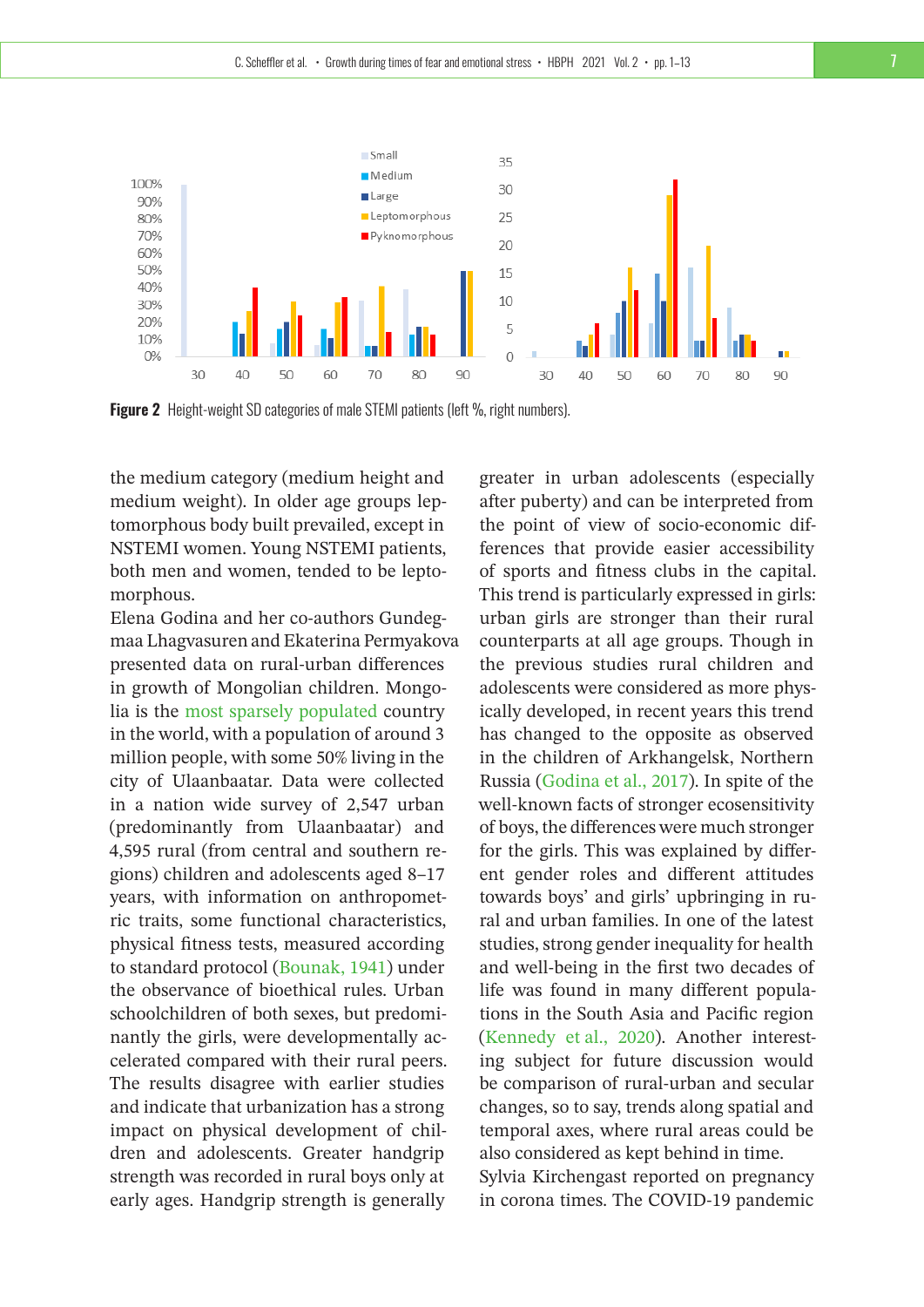

**Figure 2** Height-weight SD categories of male STEMI patients (left %, right numbers).

the medium category (medium height and medium weight). In older age groups leptomorphous body built prevailed, except in NSTEMI women. Young NSTEMI patients, both men and women, tended to be leptomorphous.

Elena Godina and her co-authors Gundegmaa Lhagvasuren and Ekaterina Permyakova presented data on rural-urban differences in growth of Mongolian children. Mongolia is the [most sparsely populated](https://en.wikipedia.org/wiki/List_of_sovereign_states_and_dependent_territories_by_population_density) country in the world, with a population of around 3 million people, with some 50% living in the city of Ulaanbaatar. Data were collected in a nation wide survey of 2,547 urban (predominantly from Ulaanbaatar) and 4,595 rural (from central and southern regions) children and adolescents aged 8–17 years, with information on anthropometric traits, some functional characteristics, physical fitness tests, measured according to standard protocol [\(Bounak, 1941\)](#page-11-1) under the observance of bioethical rules. Urban schoolchildren of both sexes, but predominantly the girls, were developmentally accelerated compared with their rural peers. The results disagree with earlier studies and indicate that urbanization has a strong impact on physical development of children and adolescents. Greater handgrip strength was recorded in rural boys only at early ages. Handgrip strength is generally

greater in urban adolescents (especially after puberty) and can be interpreted from the point of view of socio-economic differences that provide easier accessibility of sports and fitness clubs in the capital. This trend is particularly expressed in girls: urban girls are stronger than their rural counterparts at all age groups. Though in the previous studies rural children and adolescents were considered as more physically developed, in recent years this trend has changed to the opposite as observed in the children of Arkhangelsk, Northern Russia [\(Godina et al., 2017\)](#page-12-9). In spite of the well-known facts of stronger ecosensitivity of boys, the differences were much stronger for the girls. This was explained by different gender roles and different attitudes towards boys' and girls' upbringing in rural and urban families. In one of the latest studies, strong gender inequality for health and well-being in the first two decades of life was found in many different populations in the South Asia and Pacific region [\(Kennedy et al., 2020\)](#page-12-10). Another interesting subject for future discussion would be comparison of rural-urban and secular changes, so to say, trends along spatial and temporal axes, where rural areas could be also considered as kept behind in time. Sylvia Kirchengast reported on pregnancy

in corona times. The COVID-19 pandemic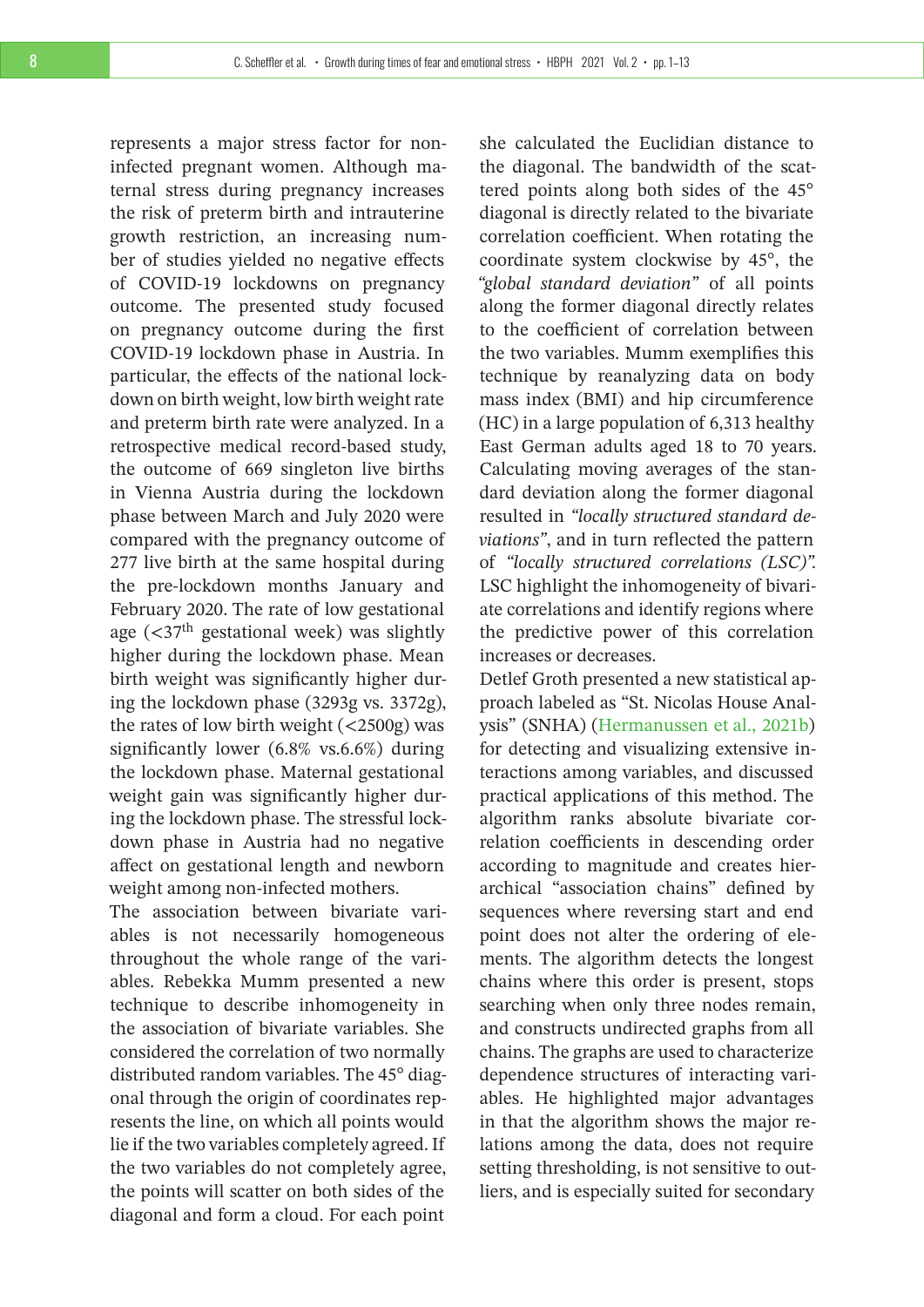represents a major stress factor for noninfected pregnant women. Although maternal stress during pregnancy increases the risk of preterm birth and intrauterine growth restriction, an increasing number of studies yielded no negative effects of COVID-19 lockdowns on pregnancy outcome. The presented study focused on pregnancy outcome during the first COVID-19 lockdown phase in Austria. In particular, the effects of the national lockdown on birth weight, low birth weight rate and preterm birth rate were analyzed. In a retrospective medical record-based study, the outcome of 669 singleton live births in Vienna Austria during the lockdown phase between March and July 2020 were compared with the pregnancy outcome of 277 live birth at the same hospital during the pre-lockdown months January and February 2020. The rate of low gestational age  $\left($  <37<sup>th</sup> gestational week) was slightly higher during the lockdown phase. Mean birth weight was significantly higher during the lockdown phase (3293g vs. 3372g), the rates of low birth weight (<2500g) was significantly lower (6.8% vs.6.6%) during the lockdown phase. Maternal gestational weight gain was significantly higher during the lockdown phase. The stressful lockdown phase in Austria had no negative affect on gestational length and newborn weight among non-infected mothers.

The association between bivariate variables is not necessarily homogeneous throughout the whole range of the variables. Rebekka Mumm presented a new technique to describe inhomogeneity in the association of bivariate variables. She considered the correlation of two normally distributed random variables. The 45° diagonal through the origin of coordinates represents the line, on which all points would lie if the two variables completely agreed. If the two variables do not completely agree, the points will scatter on both sides of the diagonal and form a cloud. For each point

she calculated the Euclidian distance to the diagonal. The bandwidth of the scattered points along both sides of the 45° diagonal is directly related to the bivariate correlation coefficient. When rotating the coordinate system clockwise by 45°, the *"global standard deviation"* of all points along the former diagonal directly relates to the coefficient of correlation between the two variables. Mumm exemplifies this technique by reanalyzing data on body mass index (BMI) and hip circumference (HC) in a large population of 6,313 healthy East German adults aged 18 to 70 years. Calculating moving averages of the standard deviation along the former diagonal resulted in *"locally structured standard deviations"*, and in turn reflected the pattern of *"locally structured correlations (LSC)".* LSC highlight the inhomogeneity of bivariate correlations and identify regions where the predictive power of this correlation increases or decreases.

Detlef Groth presented a new statistical approach labeled as "St. Nicolas House Analysis" (SNHA) [\(Hermanussen et al., 2021b\)](#page-12-11) for detecting and visualizing extensive interactions among variables, and discussed practical applications of this method. The algorithm ranks absolute bivariate correlation coefficients in descending order according to magnitude and creates hierarchical "association chains" defined by sequences where reversing start and end point does not alter the ordering of elements. The algorithm detects the longest chains where this order is present, stops searching when only three nodes remain, and constructs undirected graphs from all chains. The graphs are used to characterize dependence structures of interacting variables. He highlighted major advantages in that the algorithm shows the major relations among the data, does not require setting thresholding, is not sensitive to outliers, and is especially suited for secondary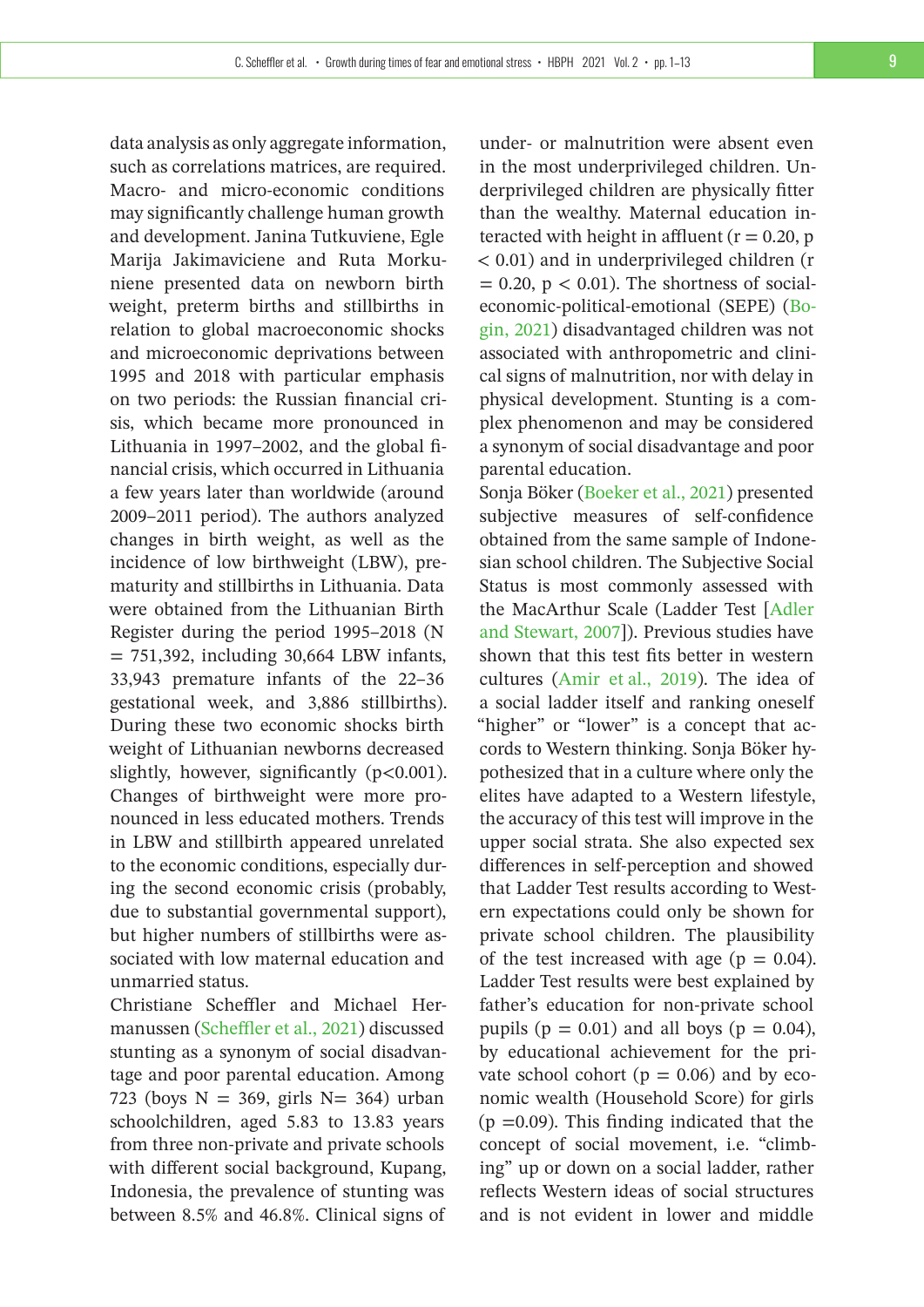data analysis as only aggregate information, such as correlations matrices, are required. Macro- and micro-economic conditions may significantly challenge human growth and development. Janina Tutkuviene, Egle Marija Jakimaviciene and Ruta Morkuniene presented data on newborn birth weight, preterm births and stillbirths in relation to global macroeconomic shocks and microeconomic deprivations between 1995 and 2018 with particular emphasis on two periods: the Russian financial crisis, which became more pronounced in Lithuania in 1997–2002, and the global financial crisis, which occurred in Lithuania a few years later than worldwide (around 2009–2011 period). The authors analyzed changes in birth weight, as well as the incidence of low birthweight (LBW), prematurity and stillbirths in Lithuania. Data were obtained from the Lithuanian Birth Register during the period 1995–2018 (N  $= 751,392$ , including 30,664 LBW infants, 33,943 premature infants of the 22–36 gestational week, and 3,886 stillbirths). During these two economic shocks birth weight of Lithuanian newborns decreased slightly, however, significantly  $(p<0.001)$ . Changes of birthweight were more pronounced in less educated mothers. Trends in LBW and stillbirth appeared unrelated to the economic conditions, especially during the second economic crisis (probably, due to substantial governmental support), but higher numbers of stillbirths were associated with low maternal education and unmarried status.

Christiane Scheffler and Michael Hermanussen [\(Scheffler et al., 2021\)](#page-12-12) discussed stunting as a synonym of social disadvantage and poor parental education. Among 723 (boys  $N = 369$ , girls  $N = 364$ ) urban schoolchildren, aged 5.83 to 13.83 years from three non-private and private schools with different social background, Kupang, Indonesia, the prevalence of stunting was between 8.5% and 46.8%. Clinical signs of

under- or malnutrition were absent even in the most underprivileged children. Underprivileged children are physically fitter than the wealthy. Maternal education interacted with height in affluent  $(r = 0.20, p$ < 0.01) and in underprivileged children (r  $= 0.20$ ,  $p < 0.01$ ). The shortness of socialeconomic-political-emotional (SEPE) [\(Bo](#page-11-2)[gin, 2021\)](#page-11-2) disadvantaged children was not associated with anthropometric and clinical signs of malnutrition, nor with delay in physical development. Stunting is a complex phenomenon and may be considered a synonym of social disadvantage and poor parental education.

Sonja Böker [\(Boeker et al., 2021\)](#page-11-3) presented subjective measures of self-confidence obtained from the same sample of Indonesian school children. The Subjective Social Status is most commonly assessed with the MacArthur Scale (Ladder Test [\[Adler](#page-11-4) [and Stewart, 2007\]](#page-11-4)). Previous studies have shown that this test fits better in western cultures [\(Amir et al., 2019\)](#page-11-5). The idea of a social ladder itself and ranking oneself "higher" or "lower" is a concept that accords to Western thinking. Sonja Böker hypothesized that in a culture where only the elites have adapted to a Western lifestyle, the accuracy of this test will improve in the upper social strata. She also expected sex differences in self-perception and showed that Ladder Test results according to Western expectations could only be shown for private school children. The plausibility of the test increased with age ( $p = 0.04$ ). Ladder Test results were best explained by father's education for non-private school pupils ( $p = 0.01$ ) and all boys ( $p = 0.04$ ), by educational achievement for the private school cohort ( $p = 0.06$ ) and by economic wealth (Household Score) for girls  $(p = 0.09)$ . This finding indicated that the concept of social movement, i.e. "climbing" up or down on a social ladder, rather reflects Western ideas of social structures and is not evident in lower and middle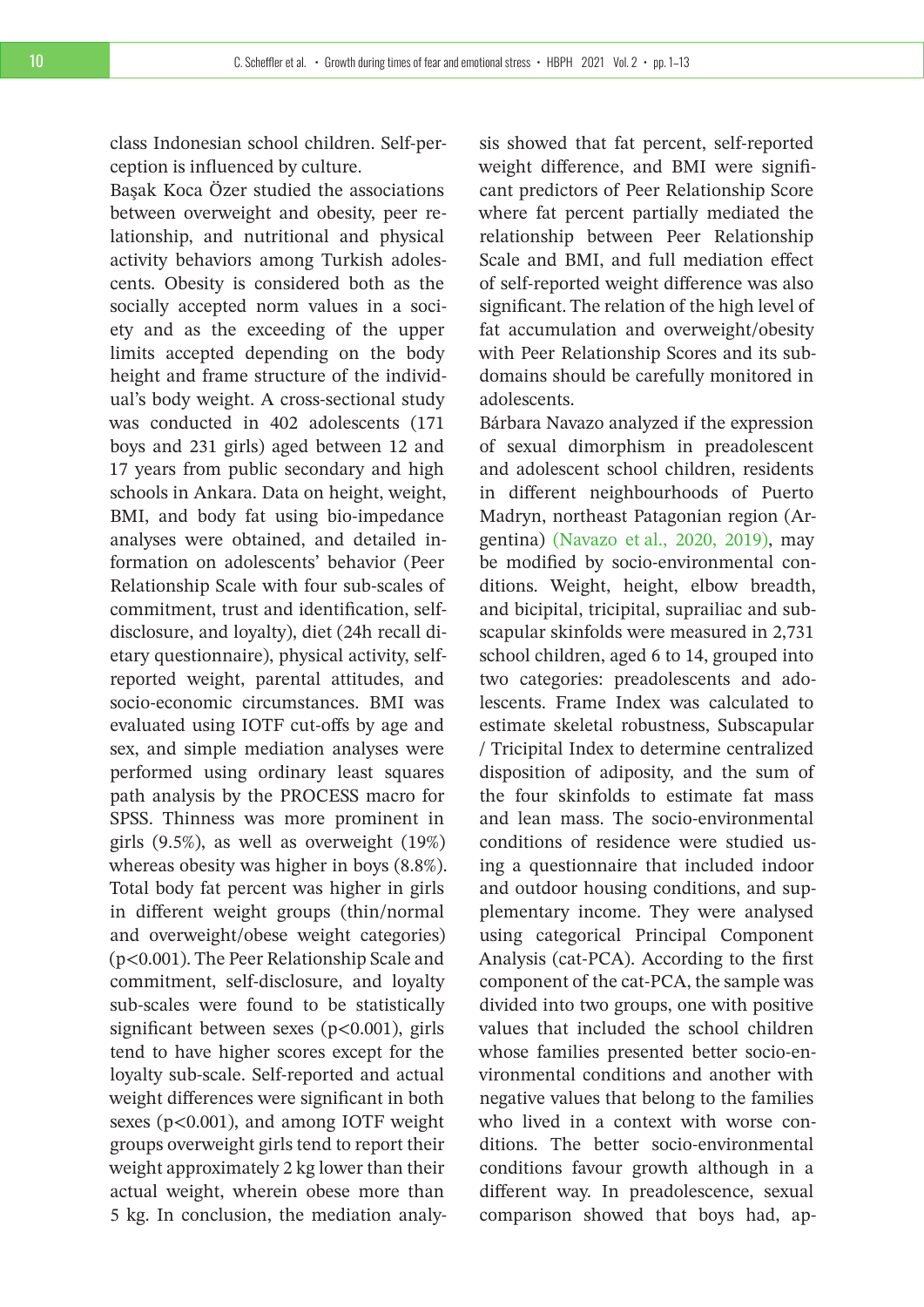class Indonesian school children. Self-perception is influenced by culture.

Başak Koca Özer studied the associations between overweight and obesity, peer relationship, and nutritional and physical activity behaviors among Turkish adolescents. Obesity is considered both as the socially accepted norm values in a society and as the exceeding of the upper limits accepted depending on the body height and frame structure of the individual's body weight. A cross-sectional study was conducted in 402 adolescents (171 boys and 231 girls) aged between 12 and 17 years from public secondary and high schools in Ankara. Data on height, weight, BMI, and body fat using bio-impedance analyses were obtained, and detailed information on adolescents' behavior (Peer Relationship Scale with four sub-scales of commitment, trust and identification, selfdisclosure, and loyalty), diet (24h recall dietary questionnaire), physical activity, selfreported weight, parental attitudes, and socio-economic circumstances. BMI was evaluated using IOTF cut-offs by age and sex, and simple mediation analyses were performed using ordinary least squares path analysis by the PROCESS macro for SPSS. Thinness was more prominent in girls (9.5%), as well as overweight (19%) whereas obesity was higher in boys (8.8%). Total body fat percent was higher in girls in different weight groups (thin/normal and overweight/obese weight categories) (p<0.001). The Peer Relationship Scale and commitment, self-disclosure, and loyalty sub-scales were found to be statistically significant between sexes  $(p<0.001)$ , girls tend to have higher scores except for the loyalty sub-scale. Self-reported and actual weight differences were significant in both sexes (p<0.001), and among IOTF weight groups overweight girls tend to report their weight approximately 2 kg lower than their actual weight, wherein obese more than 5 kg. In conclusion, the mediation analysis showed that fat percent, self-reported weight difference, and BMI were significant predictors of Peer Relationship Score where fat percent partially mediated the relationship between Peer Relationship Scale and BMI, and full mediation effect of self-reported weight difference was also significant. The relation of the high level of fat accumulation and overweight/obesity with Peer Relationship Scores and its subdomains should be carefully monitored in adolescents.

Bárbara Navazo analyzed if the expression of sexual dimorphism in preadolescent and adolescent school children, residents in different neighbourhoods of Puerto Madryn, northeast Patagonian region (Argentina) [\(Navazo et al., 2020, 2019\),](#page-12-2) may be modified by socio-environmental conditions. Weight, height, elbow breadth, and bicipital, tricipital, suprailiac and subscapular skinfolds were measured in 2,731 school children, aged 6 to 14, grouped into two categories: preadolescents and adolescents. Frame Index was calculated to estimate skeletal robustness, Subscapular / Tricipital Index to determine centralized disposition of adiposity, and the sum of the four skinfolds to estimate fat mass and lean mass. The socio-environmental conditions of residence were studied using a questionnaire that included indoor and outdoor housing conditions, and supplementary income. They were analysed using categorical Principal Component Analysis (cat-PCA). According to the first component of the cat-PCA, the sample was divided into two groups, one with positive values that included the school children whose families presented better socio-environmental conditions and another with negative values that belong to the families who lived in a context with worse conditions. The better socio-environmental conditions favour growth although in a different way. In preadolescence, sexual comparison showed that boys had, ap-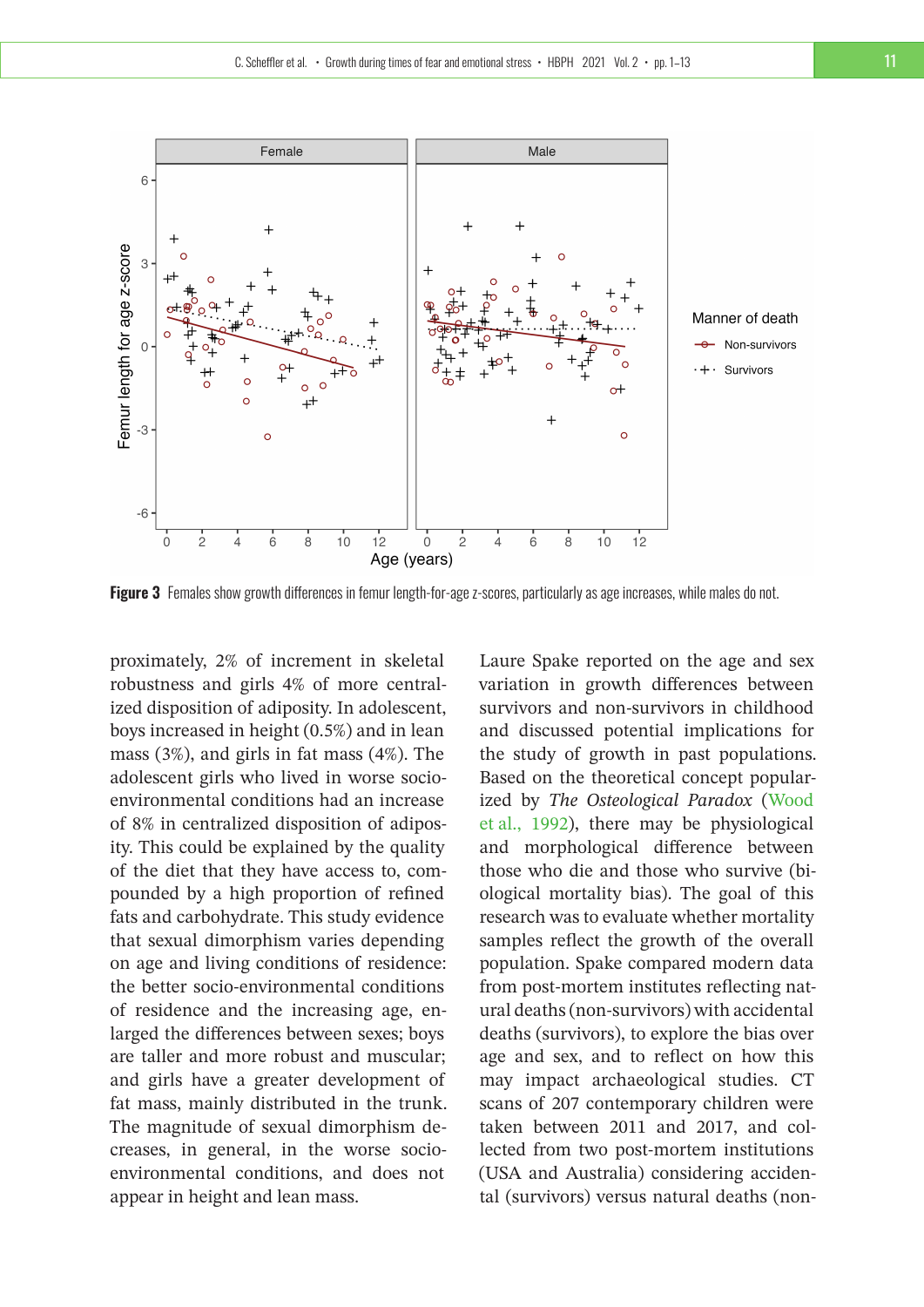

Figure 3 Females show growth differences in femur length-for-age z-scores, particularly as age increases, while males do not.

proximately, 2% of increment in skeletal robustness and girls 4% of more centralized disposition of adiposity. In adolescent, boys increased in height (0.5%) and in lean mass (3%), and girls in fat mass (4%). The adolescent girls who lived in worse socioenvironmental conditions had an increase of 8% in centralized disposition of adiposity. This could be explained by the quality of the diet that they have access to, compounded by a high proportion of refined fats and carbohydrate. This study evidence that sexual dimorphism varies depending on age and living conditions of residence: the better socio-environmental conditions of residence and the increasing age, enlarged the differences between sexes; boys are taller and more robust and muscular; and girls have a greater development of fat mass, mainly distributed in the trunk. The magnitude of sexual dimorphism decreases, in general, in the worse socioenvironmental conditions, and does not appear in height and lean mass.

Laure Spake reported on the age and sex variation in growth differences between survivors and non-survivors in childhood and discussed potential implications for the study of growth in past populations. Based on the theoretical concept popularized by *The Osteological Paradox* [\(Wood](#page-12-13) [et al., 1992\)](#page-12-13), there may be physiological and morphological difference between those who die and those who survive (biological mortality bias). The goal of this research was to evaluate whether mortality samples reflect the growth of the overall population. Spake compared modern data from post-mortem institutes reflecting natural deaths (non-survivors) with accidental deaths (survivors), to explore the bias over age and sex, and to reflect on how this may impact archaeological studies. CT scans of 207 contemporary children were taken between 2011 and 2017, and collected from two post-mortem institutions (USA and Australia) considering accidental (survivors) versus natural deaths (non-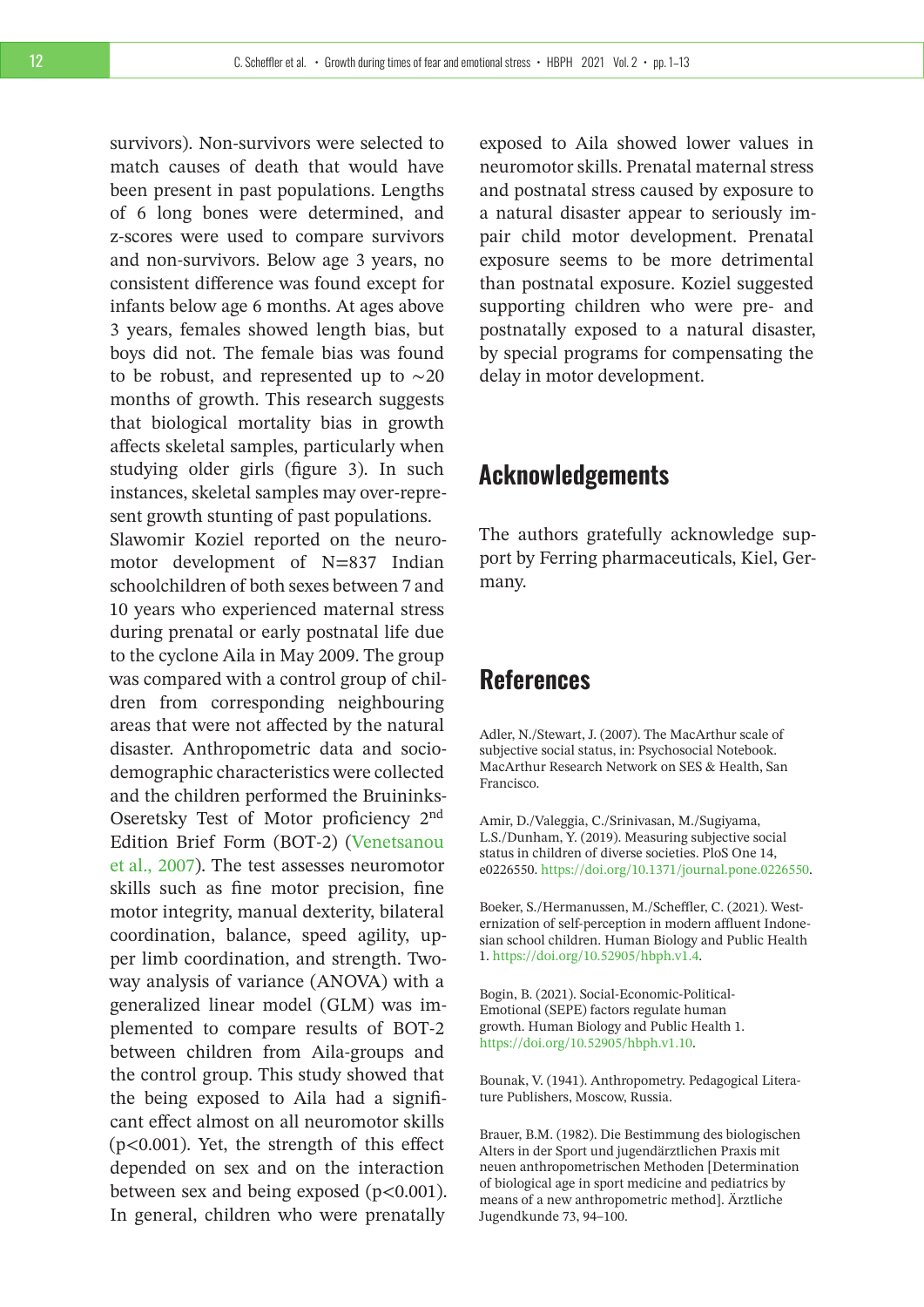survivors). Non-survivors were selected to match causes of death that would have been present in past populations. Lengths of 6 long bones were determined, and z-scores were used to compare survivors and non-survivors. Below age 3 years, no consistent difference was found except for infants below age 6 months. At ages above 3 years, females showed length bias, but boys did not. The female bias was found to be robust, and represented up to ∼20 months of growth. This research suggests that biological mortality bias in growth affects skeletal samples, particularly when studying older girls (figure 3). In such instances, skeletal samples may over-represent growth stunting of past populations. Slawomir Koziel reported on the neuromotor development of N=837 Indian schoolchildren of both sexes between 7 and 10 years who experienced maternal stress during prenatal or early postnatal life due to the cyclone Aila in May 2009. The group was compared with a control group of children from corresponding neighbouring areas that were not affected by the natural disaster. Anthropometric data and sociodemographic characteristics were collected and the children performed the Bruininks-Oseretsky Test of Motor proficiency 2nd Edition Brief Form (BOT-2) [\(Venetsanou](#page-12-14) [et al., 2007\)](#page-12-14). The test assesses neuromotor skills such as fine motor precision, fine motor integrity, manual dexterity, bilateral coordination, balance, speed agility, upper limb coordination, and strength. Twoway analysis of variance (ANOVA) with a generalized linear model (GLM) was implemented to compare results of BOT-2 between children from Aila-groups and the control group. This study showed that the being exposed to Aila had a significant effect almost on all neuromotor skills (p<0.001). Yet, the strength of this effect depended on sex and on the interaction between sex and being exposed  $(p<0.001)$ . In general, children who were prenatally

exposed to Aila showed lower values in neuromotor skills. Prenatal maternal stress and postnatal stress caused by exposure to a natural disaster appear to seriously impair child motor development. Prenatal exposure seems to be more detrimental than postnatal exposure. Koziel suggested supporting children who were pre- and postnatally exposed to a natural disaster, by special programs for compensating the delay in motor development.

## **Acknowledgements**

The authors gratefully acknowledge support by Ferring pharmaceuticals, Kiel, Germany.

# **References**

<span id="page-11-4"></span>Adler, N./Stewart, J. (2007). The MacArthur scale of subjective social status, in: Psychosocial Notebook. MacArthur Research Network on SES & Health, San Francisco.

<span id="page-11-5"></span>Amir, D./Valeggia, C./Srinivasan, M./Sugiyama, L.S./Dunham, Y. (2019). Measuring subjective social status in children of diverse societies. PloS One 14, e0226550. [https://doi.org/10.1371/journal.pone.0226550.](https://doi.org/10.1371/journal.pone.0226550)

<span id="page-11-3"></span>Boeker, S./Hermanussen, M./Scheffler, C. (2021). Westernization of self-perception in modern affluent Indonesian school children. Human Biology and Public Health 1. [https://doi.org/10.52905/hbph.v1.4.](https://doi.org/10.52905/hbph.v1.4)

<span id="page-11-2"></span>Bogin, B. (2021). Social-Economic-Political-Emotional (SEPE) factors regulate human growth. Human Biology and Public Health 1. [https://doi.org/10.52905/hbph.v1.10.](https://doi.org/10.52905/hbph.v1.10)

<span id="page-11-1"></span>Bounak, V. (1941). Anthropometry. Pedagogical Literature Publishers, Moscow, Russia.

<span id="page-11-0"></span>Brauer, B.M. (1982). Die Bestimmung des biologischen Alters in der Sport und jugendärztlichen Praxis mit neuen anthropometrischen Methoden [Determination of biological age in sport medicine and pediatrics by means of a new anthropometric method]. Ärztliche Jugendkunde 73, 94–100.